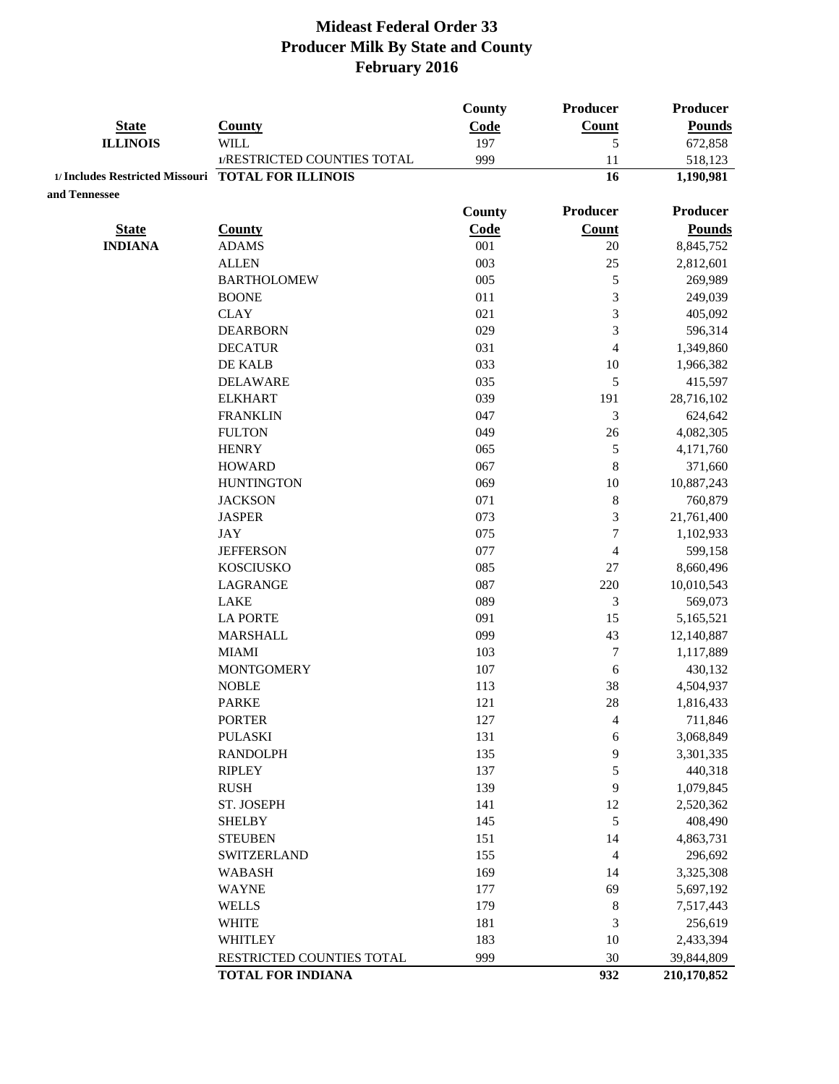|                                                    |                             | County | Producer                 | <b>Producer</b> |
|----------------------------------------------------|-----------------------------|--------|--------------------------|-----------------|
| <b>State</b>                                       | <b>County</b>               | Code   | Count                    | <b>Pounds</b>   |
| <b>ILLINOIS</b>                                    | WILL                        | 197    | 5                        | 672,858         |
|                                                    | 1/RESTRICTED COUNTIES TOTAL | 999    | 11                       | 518,123         |
| 1/ Includes Restricted Missouri TOTAL FOR ILLINOIS |                             |        | 16                       | 1,190,981       |
| and Tennessee                                      |                             |        |                          |                 |
|                                                    |                             | County | Producer                 | <b>Producer</b> |
| <b>State</b>                                       | <b>County</b>               | Code   | Count                    | <b>Pounds</b>   |
| <b>INDIANA</b>                                     | <b>ADAMS</b>                | 001    | 20                       | 8,845,752       |
|                                                    | <b>ALLEN</b>                | 003    | 25                       | 2,812,601       |
|                                                    | <b>BARTHOLOMEW</b>          | 005    | 5                        | 269,989         |
|                                                    | <b>BOONE</b>                | 011    | 3                        | 249,039         |
|                                                    | <b>CLAY</b>                 | 021    | 3                        | 405,092         |
|                                                    | <b>DEARBORN</b>             | 029    | 3                        | 596,314         |
|                                                    | <b>DECATUR</b>              | 031    | $\overline{4}$           | 1,349,860       |
|                                                    | DE KALB                     | 033    | 10                       | 1,966,382       |
|                                                    | <b>DELAWARE</b>             | 035    | 5                        | 415,597         |
|                                                    | <b>ELKHART</b>              | 039    | 191                      | 28,716,102      |
|                                                    | <b>FRANKLIN</b>             | 047    | 3                        | 624,642         |
|                                                    | <b>FULTON</b>               | 049    | 26                       | 4,082,305       |
|                                                    | <b>HENRY</b>                | 065    | $\sqrt{5}$               | 4,171,760       |
|                                                    | <b>HOWARD</b>               | 067    | $\,8\,$                  | 371,660         |
|                                                    | <b>HUNTINGTON</b>           | 069    | 10                       | 10,887,243      |
|                                                    | <b>JACKSON</b>              | 071    | $\,$ 8 $\,$              | 760,879         |
|                                                    | <b>JASPER</b>               | 073    | $\mathfrak{Z}$           | 21,761,400      |
|                                                    | <b>JAY</b>                  | 075    | $\overline{7}$           | 1,102,933       |
|                                                    | <b>JEFFERSON</b>            | 077    | $\overline{4}$           | 599,158         |
|                                                    | <b>KOSCIUSKO</b>            | 085    | 27                       | 8,660,496       |
|                                                    | LAGRANGE                    | 087    | 220                      | 10,010,543      |
|                                                    | <b>LAKE</b>                 | 089    | 3                        | 569,073         |
|                                                    | <b>LA PORTE</b>             | 091    | 15                       | 5,165,521       |
|                                                    | <b>MARSHALL</b>             | 099    | 43                       | 12,140,887      |
|                                                    | <b>MIAMI</b>                | 103    | $\tau$                   | 1,117,889       |
|                                                    | <b>MONTGOMERY</b>           | 107    | 6                        | 430,132         |
|                                                    | <b>NOBLE</b>                | 113    | 38                       | 4,504,937       |
|                                                    | <b>PARKE</b>                | 121    | 28                       | 1,816,433       |
|                                                    | <b>PORTER</b>               | 127    | $\overline{\mathcal{A}}$ | 711,846         |
|                                                    | <b>PULASKI</b>              | 131    | 6                        | 3,068,849       |
|                                                    | <b>RANDOLPH</b>             | 135    | 9                        | 3,301,335       |
|                                                    | <b>RIPLEY</b>               | 137    | 5                        | 440,318         |
|                                                    | <b>RUSH</b>                 | 139    | 9                        | 1,079,845       |
|                                                    | ST. JOSEPH                  | 141    | 12                       | 2,520,362       |
|                                                    | <b>SHELBY</b>               | 145    | $\sqrt{5}$               | 408,490         |
|                                                    | <b>STEUBEN</b>              | 151    | 14                       | 4,863,731       |
|                                                    | <b>SWITZERLAND</b>          | 155    | $\overline{4}$           | 296,692         |
|                                                    | <b>WABASH</b>               | 169    | 14                       | 3,325,308       |
|                                                    | <b>WAYNE</b>                | 177    | 69                       | 5,697,192       |
|                                                    | <b>WELLS</b>                | 179    | $\,8\,$                  | 7,517,443       |
|                                                    | <b>WHITE</b>                | 181    | 3                        | 256,619         |
|                                                    | <b>WHITLEY</b>              | 183    | 10                       | 2,433,394       |
|                                                    | RESTRICTED COUNTIES TOTAL   | 999    | 30                       | 39,844,809      |
|                                                    | <b>TOTAL FOR INDIANA</b>    |        | 932                      | 210,170,852     |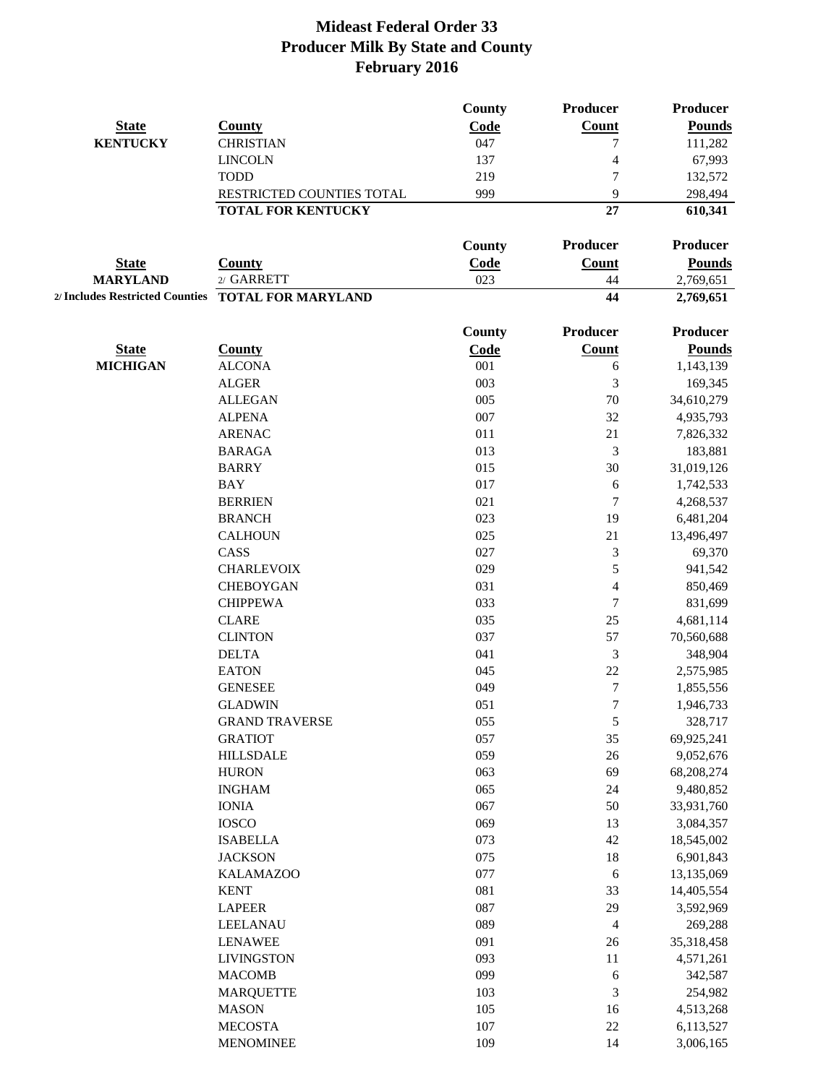|                 |                                                    | <b>County</b> | <b>Producer</b> | <b>Producer</b>        |
|-----------------|----------------------------------------------------|---------------|-----------------|------------------------|
| <b>State</b>    | <b>County</b>                                      | Code          | Count           | <b>Pounds</b>          |
| <b>KENTUCKY</b> | <b>CHRISTIAN</b>                                   | 047           | 7               | 111,282                |
|                 | <b>LINCOLN</b>                                     | 137           | 4               | 67,993                 |
|                 | <b>TODD</b>                                        | 219           | 7               | 132,572                |
|                 | RESTRICTED COUNTIES TOTAL                          | 999           | 9               | 298,494                |
|                 | <b>TOTAL FOR KENTUCKY</b>                          |               | 27              | 610,341                |
|                 |                                                    | <b>County</b> | Producer        | <b>Producer</b>        |
| <b>State</b>    | <b>County</b>                                      | <b>Code</b>   | Count           | <b>Pounds</b>          |
| <b>MARYLAND</b> | 2/ GARRETT                                         | 023           | 44              | 2,769,651              |
|                 | 2/ Includes Restricted Counties TOTAL FOR MARYLAND |               | 44              | 2,769,651              |
|                 |                                                    | <b>County</b> | Producer        | <b>Producer</b>        |
| <b>State</b>    | <b>County</b>                                      | <b>Code</b>   | <b>Count</b>    | <b>Pounds</b>          |
| <b>MICHIGAN</b> | <b>ALCONA</b>                                      | 001           | 6               | 1,143,139              |
|                 | <b>ALGER</b>                                       | 003           | 3               | 169,345                |
|                 | <b>ALLEGAN</b>                                     | 005           | 70              | 34,610,279             |
|                 | <b>ALPENA</b>                                      | 007           | 32              | 4,935,793              |
|                 | <b>ARENAC</b>                                      | 011           | 21              | 7,826,332              |
|                 | <b>BARAGA</b>                                      | 013           | 3               | 183,881                |
|                 | <b>BARRY</b>                                       | 015           | 30              | 31,019,126             |
|                 | <b>BAY</b>                                         | 017           | 6               | 1,742,533              |
|                 | <b>BERRIEN</b>                                     | 021           | $\tau$          | 4,268,537              |
|                 | <b>BRANCH</b>                                      | 023           | 19              | 6,481,204              |
|                 | <b>CALHOUN</b>                                     | 025           | 21              | 13,496,497             |
|                 | CASS                                               | 027           | 3               | 69,370                 |
|                 | <b>CHARLEVOIX</b>                                  | 029           | 5               | 941,542                |
|                 | <b>CHEBOYGAN</b>                                   | 031           | $\overline{4}$  | 850,469                |
|                 | <b>CHIPPEWA</b>                                    | 033           | 7               | 831,699                |
|                 | <b>CLARE</b>                                       | 035           | 25              | 4,681,114              |
|                 | <b>CLINTON</b>                                     | 037           | 57              | 70,560,688             |
|                 | <b>DELTA</b>                                       | 041           | 3               | 348,904                |
|                 | <b>EATON</b>                                       | 045           | $22\,$          | 2,575,985              |
|                 | <b>GENESEE</b>                                     | 049           | $\tau$          |                        |
|                 | <b>GLADWIN</b>                                     | 051           | 7               | 1,855,556<br>1,946,733 |
|                 | <b>GRAND TRAVERSE</b>                              |               |                 |                        |
|                 |                                                    | 055<br>057    | 5               | 328,717                |
|                 | <b>GRATIOT</b>                                     |               | 35              | 69,925,241             |
|                 | <b>HILLSDALE</b>                                   | 059           | $26\,$          | 9,052,676              |
|                 | <b>HURON</b>                                       | 063           | 69              | 68,208,274             |
|                 | <b>INGHAM</b>                                      | 065           | 24              | 9,480,852              |
|                 | <b>IONIA</b>                                       | 067           | 50              | 33,931,760             |
|                 | <b>IOSCO</b>                                       | 069           | 13              | 3,084,357              |
|                 | <b>ISABELLA</b>                                    | 073           | 42              | 18,545,002             |
|                 | <b>JACKSON</b>                                     | 075           | 18              | 6,901,843              |
|                 | <b>KALAMAZOO</b>                                   | 077           | 6               | 13,135,069             |
|                 | <b>KENT</b>                                        | 081           | 33              | 14,405,554             |
|                 | <b>LAPEER</b>                                      | 087           | 29              | 3,592,969              |
|                 | LEELANAU                                           | 089           | $\overline{4}$  | 269,288                |
|                 | <b>LENAWEE</b>                                     | 091           | 26              | 35,318,458             |
|                 | <b>LIVINGSTON</b>                                  | 093           | 11              | 4,571,261              |
|                 | <b>MACOMB</b>                                      | 099           | 6               | 342,587                |
|                 | <b>MARQUETTE</b>                                   | 103           | $\mathfrak{Z}$  | 254,982                |
|                 | <b>MASON</b>                                       | 105           | 16              | 4,513,268              |
|                 | <b>MECOSTA</b>                                     | $107\,$       | $22\,$          | 6,113,527              |
|                 | <b>MENOMINEE</b>                                   | 109           | 14              | 3,006,165              |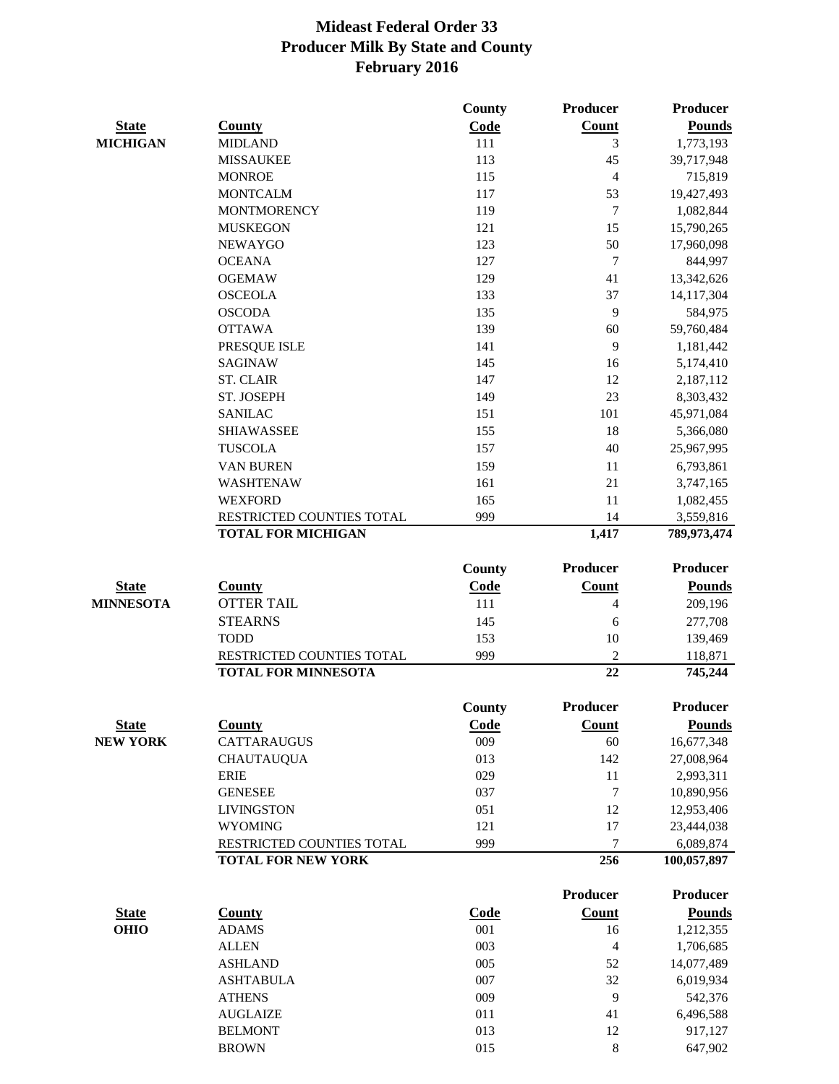|                  |                                   | <b>County</b> | Producer        | <b>Producer</b>      |
|------------------|-----------------------------------|---------------|-----------------|----------------------|
| <b>State</b>     | <b>County</b>                     | Code          | <b>Count</b>    | <b>Pounds</b>        |
| <b>MICHIGAN</b>  | <b>MIDLAND</b>                    | 111           | 3               | 1,773,193            |
|                  | <b>MISSAUKEE</b>                  | 113           | 45              | 39,717,948           |
|                  | <b>MONROE</b>                     | 115           | $\overline{4}$  | 715,819              |
|                  | <b>MONTCALM</b>                   | 117           | 53              | 19,427,493           |
|                  | <b>MONTMORENCY</b>                | 119           | $\overline{7}$  | 1,082,844            |
|                  | <b>MUSKEGON</b>                   | 121           | 15              | 15,790,265           |
|                  | <b>NEWAYGO</b>                    | 123           | 50              | 17,960,098           |
|                  | <b>OCEANA</b>                     | 127           | $\overline{7}$  | 844,997              |
|                  | <b>OGEMAW</b>                     | 129           | 41              | 13,342,626           |
|                  | <b>OSCEOLA</b>                    | 133           | 37              | 14,117,304           |
|                  | <b>OSCODA</b>                     | 135           | 9               | 584,975              |
|                  | <b>OTTAWA</b>                     | 139           | 60              | 59,760,484           |
|                  | PRESQUE ISLE                      | 141           | 9               | 1,181,442            |
|                  | <b>SAGINAW</b>                    | 145           | 16              | 5,174,410            |
|                  | <b>ST. CLAIR</b>                  | 147           | 12              | 2,187,112            |
|                  | ST. JOSEPH                        | 149           | 23              | 8,303,432            |
|                  | <b>SANILAC</b>                    | 151           | 101             | 45,971,084           |
|                  | <b>SHIAWASSEE</b>                 | 155           | 18              | 5,366,080            |
|                  | <b>TUSCOLA</b>                    | 157           | 40              | 25,967,995           |
|                  | VAN BUREN                         | 159           | 11              | 6,793,861            |
|                  | WASHTENAW                         | 161           | 21              | 3,747,165            |
|                  | <b>WEXFORD</b>                    | 165           | 11              | 1,082,455            |
|                  | RESTRICTED COUNTIES TOTAL         | 999           | 14              | 3,559,816            |
|                  | <b>TOTAL FOR MICHIGAN</b>         |               | 1,417           | 789,973,474          |
|                  |                                   | <b>County</b> | <b>Producer</b> | <b>Producer</b>      |
| <b>State</b>     | <b>County</b>                     | Code          | Count           | <b>Pounds</b>        |
| <b>MINNESOTA</b> | <b>OTTER TAIL</b>                 | 111           | $\overline{4}$  | 209,196              |
|                  | <b>STEARNS</b>                    | 145           | 6               | 277,708              |
|                  | <b>TODD</b>                       | 153           | 10              | 139,469              |
|                  | RESTRICTED COUNTIES TOTAL         | 999           | $\overline{2}$  | 118,871              |
|                  | <b>TOTAL FOR MINNESOTA</b>        |               | 22              | 745,244              |
|                  |                                   | County        | Producer        | <b>Producer</b>      |
| <b>State</b>     | <b>County</b>                     | Code          | <b>Count</b>    | <b>Pounds</b>        |
| <b>NEW YORK</b>  | CATTARAUGUS                       | 009           | 60              | 16,677,348           |
|                  | <b>CHAUTAUQUA</b>                 | 013           | 142             | 27,008,964           |
|                  | <b>ERIE</b>                       | 029           | 11              | 2,993,311            |
|                  | <b>GENESEE</b>                    | 037           | 7               | 10,890,956           |
|                  | <b>LIVINGSTON</b>                 | 051           | 12              | 12,953,406           |
|                  | <b>WYOMING</b>                    | 121           | 17              | 23,444,038           |
|                  | RESTRICTED COUNTIES TOTAL         | 999           | 7               | 6,089,874            |
|                  | <b>TOTAL FOR NEW YORK</b>         |               | 256             | 100,057,897          |
|                  |                                   |               | Producer        | <b>Producer</b>      |
| <b>State</b>     | <b>County</b>                     | <b>Code</b>   | <b>Count</b>    | <b>Pounds</b>        |
| <b>OHIO</b>      | <b>ADAMS</b>                      | 001           | 16              | 1,212,355            |
|                  | <b>ALLEN</b>                      | 003           | $\overline{4}$  | 1,706,685            |
|                  | <b>ASHLAND</b>                    | 005           | 52              | 14,077,489           |
|                  | <b>ASHTABULA</b>                  | 007           | 32              | 6,019,934            |
|                  | <b>ATHENS</b>                     | 009           | 9               | 542,376              |
|                  |                                   | 011           |                 |                      |
|                  | <b>AUGLAIZE</b><br><b>BELMONT</b> | 013           | 41<br>12        | 6,496,588<br>917,127 |
|                  | <b>BROWN</b>                      | 015           | $\,8\,$         | 647,902              |
|                  |                                   |               |                 |                      |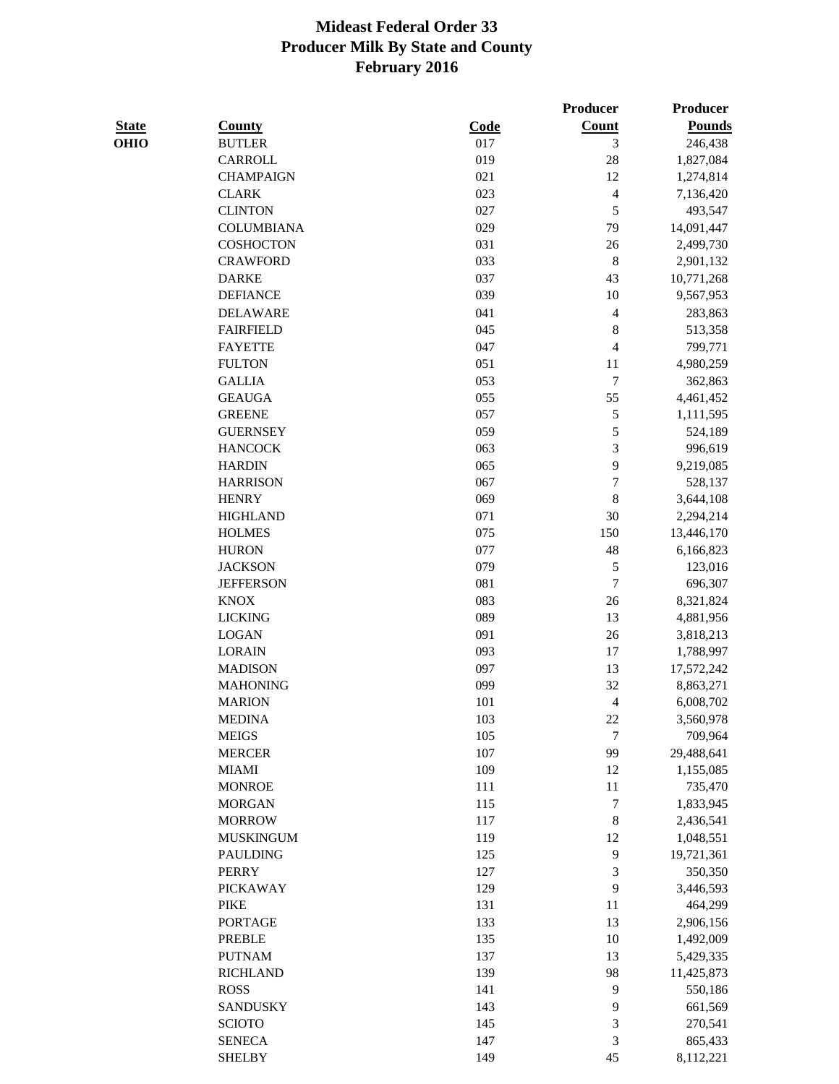**Producer Producer** 

| <b>State</b> | <b>County</b>                   | <b>Code</b> | <b>Count</b>             | <b>Pounds</b> |
|--------------|---------------------------------|-------------|--------------------------|---------------|
| <b>OHIO</b>  | <b>BUTLER</b>                   | 017         | 3                        | 246,438       |
|              | CARROLL                         | 019         | 28                       | 1,827,084     |
|              | <b>CHAMPAIGN</b>                | 021         | 12                       | 1,274,814     |
|              | <b>CLARK</b>                    | 023         | $\overline{4}$           | 7,136,420     |
|              | <b>CLINTON</b>                  | 027         | 5                        | 493,547       |
|              | <b>COLUMBIANA</b>               | 029         | 79                       | 14,091,447    |
|              | <b>COSHOCTON</b>                | 031         | 26                       | 2,499,730     |
|              | <b>CRAWFORD</b>                 | 033         | $\,8\,$                  | 2,901,132     |
|              | <b>DARKE</b>                    | 037         | 43                       | 10,771,268    |
|              | <b>DEFIANCE</b>                 | 039         | 10                       | 9,567,953     |
|              | <b>DELAWARE</b>                 | 041         | $\overline{4}$           | 283,863       |
|              | <b>FAIRFIELD</b>                | 045         | $\,$ 8 $\,$              | 513,358       |
|              | <b>FAYETTE</b>                  | 047         | $\overline{\mathcal{A}}$ | 799,771       |
|              | <b>FULTON</b>                   | 051         | 11                       | 4,980,259     |
|              | <b>GALLIA</b>                   | 053         | $\sqrt{ }$               | 362,863       |
|              | <b>GEAUGA</b>                   | 055         | 55                       | 4,461,452     |
|              | <b>GREENE</b>                   | 057         | 5                        | 1,111,595     |
|              | <b>GUERNSEY</b>                 | 059         | 5                        | 524,189       |
|              | <b>HANCOCK</b>                  | 063         | $\mathfrak 3$            | 996,619       |
|              | <b>HARDIN</b>                   | 065         | 9                        | 9,219,085     |
|              | <b>HARRISON</b>                 | 067         | $\overline{7}$           | 528,137       |
|              | <b>HENRY</b>                    | 069         | 8                        | 3,644,108     |
|              | <b>HIGHLAND</b>                 | 071         | 30                       | 2,294,214     |
|              | <b>HOLMES</b>                   | 075         | 150                      | 13,446,170    |
|              | <b>HURON</b>                    | 077         | 48                       | 6,166,823     |
|              | <b>JACKSON</b>                  | 079         | 5                        | 123,016       |
|              | <b>JEFFERSON</b>                | 081         | $\tau$                   | 696,307       |
|              | <b>KNOX</b>                     | 083         | 26                       | 8,321,824     |
|              | <b>LICKING</b>                  | 089         | 13                       | 4,881,956     |
|              | <b>LOGAN</b>                    | 091         | 26                       | 3,818,213     |
|              | <b>LORAIN</b>                   | 093         | 17                       | 1,788,997     |
|              | <b>MADISON</b>                  | 097         | 13                       | 17,572,242    |
|              | <b>MAHONING</b>                 | 099         | 32                       | 8,863,271     |
|              | <b>MARION</b>                   | 101         | $\overline{4}$           | 6,008,702     |
|              | <b>MEDINA</b>                   | 103         | $22\,$                   | 3,560,978     |
|              | <b>MEIGS</b>                    | 105         | $\boldsymbol{7}$         | 709,964       |
|              | <b>MERCER</b>                   | 107         | 99                       | 29,488,641    |
|              | <b>MIAMI</b>                    | 109         | 12                       | 1,155,085     |
|              | <b>MONROE</b>                   | 111         | 11                       | 735,470       |
|              | <b>MORGAN</b>                   | 115         | $\boldsymbol{7}$         | 1,833,945     |
|              | <b>MORROW</b>                   | 117         | $\,$ $\,$                | 2,436,541     |
|              | <b>MUSKINGUM</b>                | 119         | 12                       | 1,048,551     |
|              | <b>PAULDING</b>                 | 125         | 9                        | 19,721,361    |
|              |                                 | 127         |                          |               |
|              | <b>PERRY</b><br><b>PICKAWAY</b> | 129         | $\sqrt{3}$<br>9          | 350,350       |
|              |                                 |             |                          | 3,446,593     |
|              | <b>PIKE</b>                     | 131         | 11                       | 464,299       |
|              | <b>PORTAGE</b>                  | 133         | 13                       | 2,906,156     |
|              | <b>PREBLE</b>                   | 135         | 10                       | 1,492,009     |
|              | <b>PUTNAM</b>                   | 137         | 13                       | 5,429,335     |
|              | <b>RICHLAND</b>                 | 139         | 98                       | 11,425,873    |
|              | <b>ROSS</b>                     | 141         | 9                        | 550,186       |
|              | <b>SANDUSKY</b>                 | 143         | 9                        | 661,569       |
|              | <b>SCIOTO</b>                   | 145         | $\mathfrak 3$            | 270,541       |
|              | <b>SENECA</b>                   | 147         | $\overline{\mathbf{3}}$  | 865,433       |
|              | <b>SHELBY</b>                   | 149         | 45                       | 8,112,221     |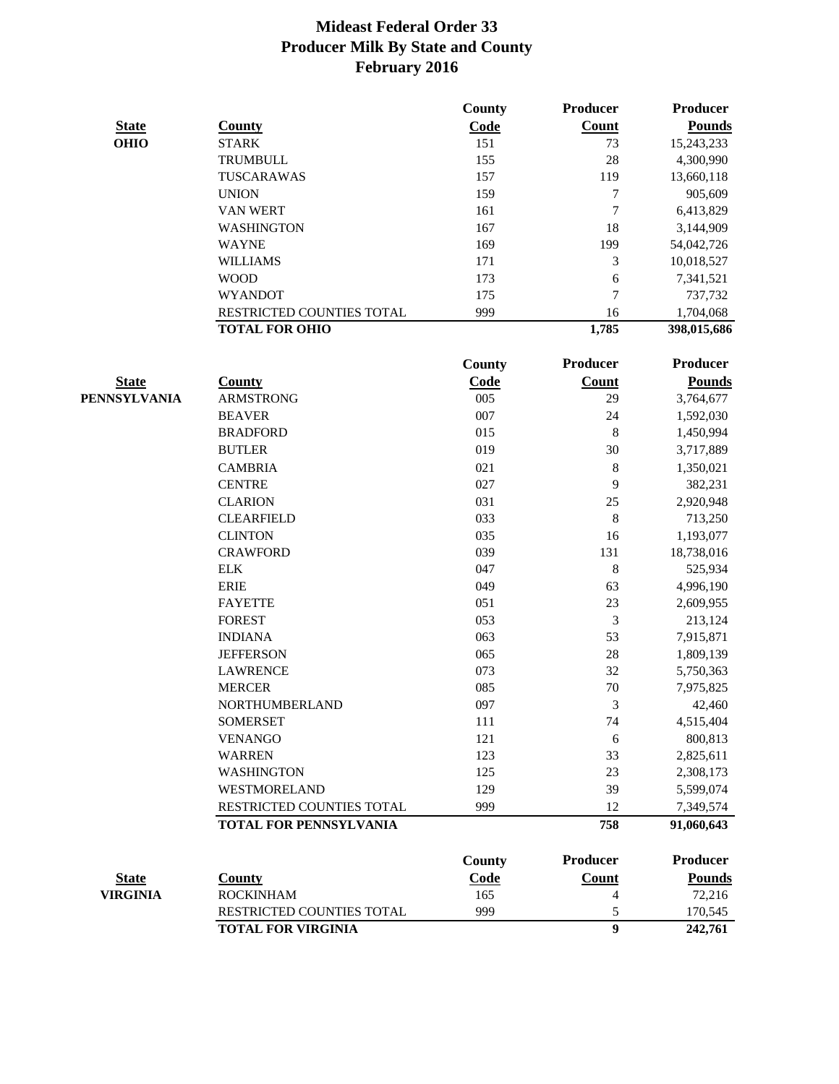|                 |                               | County      | Producer       | Producer        |
|-----------------|-------------------------------|-------------|----------------|-----------------|
| <b>State</b>    | <b>County</b>                 | Code        | <b>Count</b>   | <b>Pounds</b>   |
| <b>OHIO</b>     | <b>STARK</b>                  | 151         | 73             | 15,243,233      |
|                 | TRUMBULL                      | 155         | 28             | 4,300,990       |
|                 | TUSCARAWAS                    | 157         | 119            | 13,660,118      |
|                 | <b>UNION</b>                  | 159         | 7              | 905,609         |
|                 | <b>VAN WERT</b>               | 161         | 7              | 6,413,829       |
|                 | <b>WASHINGTON</b>             | 167         | 18             | 3,144,909       |
|                 | <b>WAYNE</b>                  | 169         | 199            | 54,042,726      |
|                 | <b>WILLIAMS</b>               | 171         | 3              | 10,018,527      |
|                 | <b>WOOD</b>                   | 173         | 6              | 7,341,521       |
|                 | <b>WYANDOT</b>                | 175         | 7              | 737,732         |
|                 | RESTRICTED COUNTIES TOTAL     | 999         | 16             | 1,704,068       |
|                 | <b>TOTAL FOR OHIO</b>         |             | 1,785          | 398,015,686     |
|                 |                               | County      | Producer       | <b>Producer</b> |
| <b>State</b>    | <b>County</b>                 | <b>Code</b> | <b>Count</b>   | <b>Pounds</b>   |
| PENNSYLVANIA    | <b>ARMSTRONG</b>              | 005         | 29             | 3,764,677       |
|                 | <b>BEAVER</b>                 | 007         | 24             | 1,592,030       |
|                 | <b>BRADFORD</b>               | 015         | 8              | 1,450,994       |
|                 | <b>BUTLER</b>                 | 019         | 30             | 3,717,889       |
|                 | <b>CAMBRIA</b>                | 021         | 8              | 1,350,021       |
|                 | <b>CENTRE</b>                 | 027         | 9              | 382,231         |
|                 | <b>CLARION</b>                | 031         | 25             | 2,920,948       |
|                 | <b>CLEARFIELD</b>             | 033         | 8              | 713,250         |
|                 | <b>CLINTON</b>                | 035         | 16             | 1,193,077       |
|                 | <b>CRAWFORD</b>               | 039         | 131            | 18,738,016      |
|                 | <b>ELK</b>                    | 047         | $\,8$          | 525,934         |
|                 | <b>ERIE</b>                   | 049         | 63             | 4,996,190       |
|                 | <b>FAYETTE</b>                | 051         | 23             | 2,609,955       |
|                 | <b>FOREST</b>                 | 053         | 3              | 213,124         |
|                 | <b>INDIANA</b>                | 063         | 53             | 7,915,871       |
|                 | <b>JEFFERSON</b>              | 065         | $28\,$         | 1,809,139       |
|                 | <b>LAWRENCE</b>               | 073         | 32             | 5,750,363       |
|                 | <b>MERCER</b>                 | 085         | 70             | 7,975,825       |
|                 | NORTHUMBERLAND                | 097         | 3              | 42,460          |
|                 | <b>SOMERSET</b>               | 111         | 74             | 4,515,404       |
|                 | <b>VENANGO</b>                | 121         | 6              | 800,813         |
|                 | <b>WARREN</b>                 | 123         | 33             | 2,825,611       |
|                 | <b>WASHINGTON</b>             | 125         | 23             | 2,308,173       |
|                 | WESTMORELAND                  | 129         | 39             | 5,599,074       |
|                 | RESTRICTED COUNTIES TOTAL     | 999         | 12             | 7,349,574       |
|                 | <b>TOTAL FOR PENNSYLVANIA</b> |             | 758            | 91,060,643      |
|                 |                               | County      | Producer       | <b>Producer</b> |
| <b>State</b>    | <b>County</b>                 | Code        | <b>Count</b>   | <b>Pounds</b>   |
| <b>VIRGINIA</b> | <b>ROCKINHAM</b>              | 165         | 4              | 72,216          |
|                 | RESTRICTED COUNTIES TOTAL     | 999         | 5              | 170,545         |
|                 | <b>TOTAL FOR VIRGINIA</b>     |             | $\overline{9}$ | 242,761         |